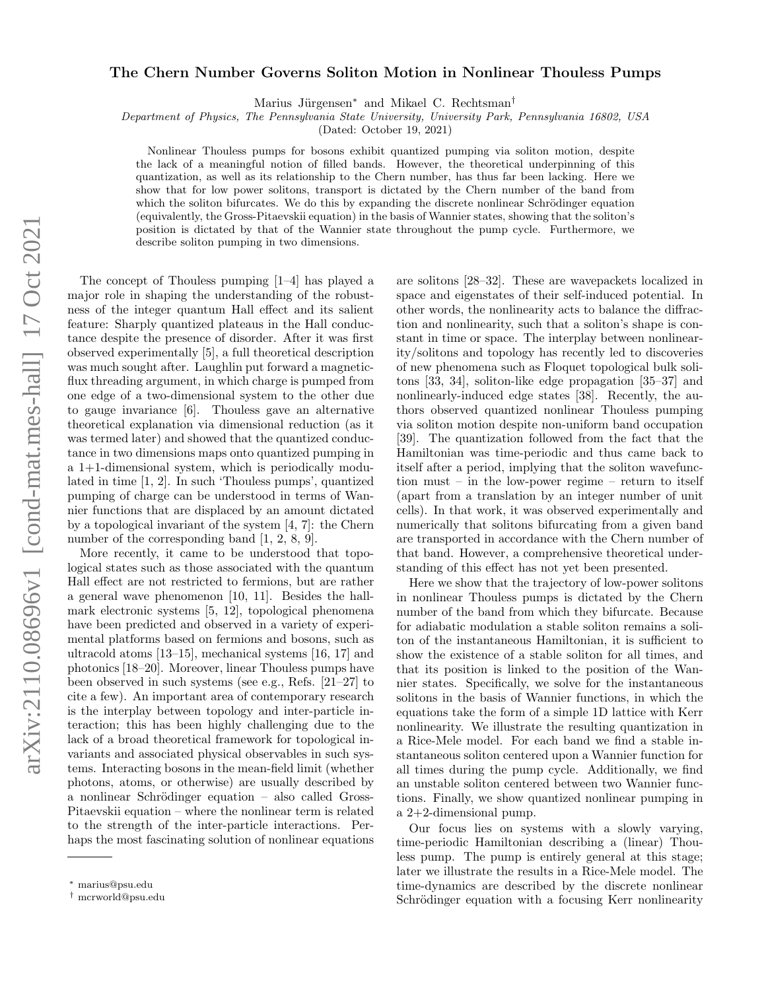# arXiv:2110.08696v1 [cond-mat.mes-hall] 17 Oct 2021 arXiv:2110.08696v1 [cond-mat.mes-hall] 17 Oct 2021

# The Chern Number Governs Soliton Motion in Nonlinear Thouless Pumps

Marius Jürgensen<sup>\*</sup> and Mikael C. Rechtsman<sup>†</sup>

Department of Physics, The Pennsylvania State University, University Park, Pennsylvania 16802, USA

(Dated: October 19, 2021)

Nonlinear Thouless pumps for bosons exhibit quantized pumping via soliton motion, despite the lack of a meaningful notion of filled bands. However, the theoretical underpinning of this quantization, as well as its relationship to the Chern number, has thus far been lacking. Here we show that for low power solitons, transport is dictated by the Chern number of the band from which the soliton bifurcates. We do this by expanding the discrete nonlinear Schrödinger equation (equivalently, the Gross-Pitaevskii equation) in the basis of Wannier states, showing that the soliton's position is dictated by that of the Wannier state throughout the pump cycle. Furthermore, we describe soliton pumping in two dimensions.

The concept of Thouless pumping [1–4] has played a major role in shaping the understanding of the robustness of the integer quantum Hall effect and its salient feature: Sharply quantized plateaus in the Hall conductance despite the presence of disorder. After it was first observed experimentally [5], a full theoretical description was much sought after. Laughlin put forward a magneticflux threading argument, in which charge is pumped from one edge of a two-dimensional system to the other due to gauge invariance [6]. Thouless gave an alternative theoretical explanation via dimensional reduction (as it was termed later) and showed that the quantized conductance in two dimensions maps onto quantized pumping in a 1+1-dimensional system, which is periodically modulated in time [1, 2]. In such 'Thouless pumps', quantized pumping of charge can be understood in terms of Wannier functions that are displaced by an amount dictated by a topological invariant of the system [4, 7]: the Chern number of the corresponding band [1, 2, 8, 9].

More recently, it came to be understood that topological states such as those associated with the quantum Hall effect are not restricted to fermions, but are rather a general wave phenomenon [10, 11]. Besides the hallmark electronic systems [5, 12], topological phenomena have been predicted and observed in a variety of experimental platforms based on fermions and bosons, such as ultracold atoms [13–15], mechanical systems [16, 17] and photonics [18–20]. Moreover, linear Thouless pumps have been observed in such systems (see e.g., Refs. [21–27] to cite a few). An important area of contemporary research is the interplay between topology and inter-particle interaction; this has been highly challenging due to the lack of a broad theoretical framework for topological invariants and associated physical observables in such systems. Interacting bosons in the mean-field limit (whether photons, atoms, or otherwise) are usually described by a nonlinear Schrödinger equation – also called Gross-Pitaevskii equation – where the nonlinear term is related to the strength of the inter-particle interactions. Perhaps the most fascinating solution of nonlinear equations

are solitons [28–32]. These are wavepackets localized in space and eigenstates of their self-induced potential. In other words, the nonlinearity acts to balance the diffraction and nonlinearity, such that a soliton's shape is constant in time or space. The interplay between nonlinearity/solitons and topology has recently led to discoveries of new phenomena such as Floquet topological bulk solitons [33, 34], soliton-like edge propagation [35–37] and nonlinearly-induced edge states [38]. Recently, the authors observed quantized nonlinear Thouless pumping via soliton motion despite non-uniform band occupation [39]. The quantization followed from the fact that the Hamiltonian was time-periodic and thus came back to itself after a period, implying that the soliton wavefunction must – in the low-power regime – return to itself (apart from a translation by an integer number of unit cells). In that work, it was observed experimentally and numerically that solitons bifurcating from a given band are transported in accordance with the Chern number of that band. However, a comprehensive theoretical understanding of this effect has not yet been presented.

Here we show that the trajectory of low-power solitons in nonlinear Thouless pumps is dictated by the Chern number of the band from which they bifurcate. Because for adiabatic modulation a stable soliton remains a soliton of the instantaneous Hamiltonian, it is sufficient to show the existence of a stable soliton for all times, and that its position is linked to the position of the Wannier states. Specifically, we solve for the instantaneous solitons in the basis of Wannier functions, in which the equations take the form of a simple 1D lattice with Kerr nonlinearity. We illustrate the resulting quantization in a Rice-Mele model. For each band we find a stable instantaneous soliton centered upon a Wannier function for all times during the pump cycle. Additionally, we find an unstable soliton centered between two Wannier functions. Finally, we show quantized nonlinear pumping in a 2+2-dimensional pump.

Our focus lies on systems with a slowly varying, time-periodic Hamiltonian describing a (linear) Thouless pump. The pump is entirely general at this stage; later we illustrate the results in a Rice-Mele model. The time-dynamics are described by the discrete nonlinear Schrödinger equation with a focusing Kerr nonlinearity

<sup>∗</sup> marius@psu.edu

<sup>†</sup> mcrworld@psu.edu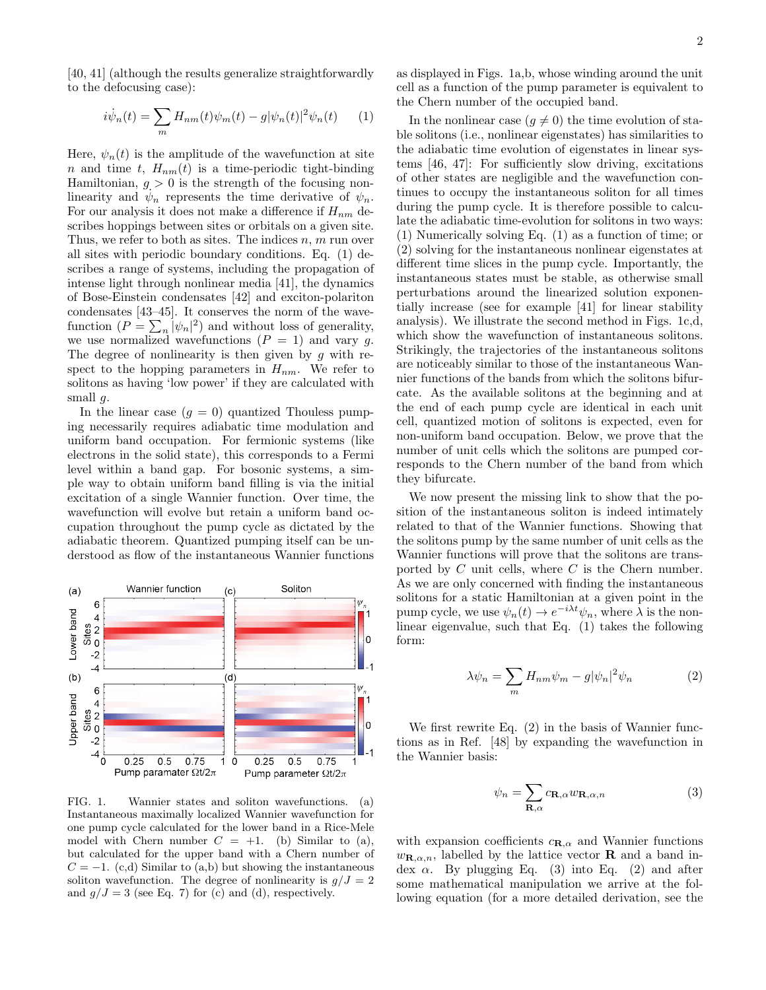[40, 41] (although the results generalize straightforwardly to the defocusing case):

$$
i\dot{\psi}_n(t) = \sum_m H_{nm}(t)\psi_m(t) - g|\psi_n(t)|^2\psi_n(t) \qquad (1)
$$

Here,  $\psi_n(t)$  is the amplitude of the wavefunction at site n and time t,  $H_{nm}(t)$  is a time-periodic tight-binding Hamiltonian,  $g > 0$  is the strength of the focusing nonlinearity and  $\psi_n$  represents the time derivative of  $\psi_n$ . For our analysis it does not make a difference if  $H_{nm}$  describes hoppings between sites or orbitals on a given site. Thus, we refer to both as sites. The indices  $n, m$  run over all sites with periodic boundary conditions. Eq. (1) describes a range of systems, including the propagation of intense light through nonlinear media [41], the dynamics of Bose-Einstein condensates [42] and exciton-polariton condensates [43–45]. It conserves the norm of the wavefunction  $(P = \sum_{n} |\psi_n|^2)$  and without loss of generality, we use normalized wavefunctions  $(P = 1)$  and vary g. The degree of nonlinearity is then given by  $g$  with respect to the hopping parameters in  $H_{nm}$ . We refer to solitons as having 'low power' if they are calculated with small  $q$ .

In the linear case  $(g = 0)$  quantized Thouless pumping necessarily requires adiabatic time modulation and uniform band occupation. For fermionic systems (like electrons in the solid state), this corresponds to a Fermi level within a band gap. For bosonic systems, a simple way to obtain uniform band filling is via the initial excitation of a single Wannier function. Over time, the wavefunction will evolve but retain a uniform band occupation throughout the pump cycle as dictated by the adiabatic theorem. Quantized pumping itself can be understood as flow of the instantaneous Wannier functions



FIG. 1. Wannier states and soliton wavefunctions. (a) Instantaneous maximally localized Wannier wavefunction for one pump cycle calculated for the lower band in a Rice-Mele model with Chern number  $C = +1$ . (b) Similar to (a), but calculated for the upper band with a Chern number of  $C = -1$ . (c,d) Similar to (a,b) but showing the instantaneous soliton wavefunction. The degree of nonlinearity is  $g/J = 2$ and  $g/J = 3$  (see Eq. 7) for (c) and (d), respectively.

as displayed in Figs. 1a,b, whose winding around the unit cell as a function of the pump parameter is equivalent to the Chern number of the occupied band.

In the nonlinear case  $(g \neq 0)$  the time evolution of stable solitons (i.e., nonlinear eigenstates) has similarities to the adiabatic time evolution of eigenstates in linear systems [46, 47]: For sufficiently slow driving, excitations of other states are negligible and the wavefunction continues to occupy the instantaneous soliton for all times during the pump cycle. It is therefore possible to calculate the adiabatic time-evolution for solitons in two ways: (1) Numerically solving Eq. (1) as a function of time; or (2) solving for the instantaneous nonlinear eigenstates at different time slices in the pump cycle. Importantly, the instantaneous states must be stable, as otherwise small perturbations around the linearized solution exponentially increase (see for example [41] for linear stability analysis). We illustrate the second method in Figs. 1c,d, which show the wavefunction of instantaneous solitons. Strikingly, the trajectories of the instantaneous solitons are noticeably similar to those of the instantaneous Wannier functions of the bands from which the solitons bifurcate. As the available solitons at the beginning and at the end of each pump cycle are identical in each unit cell, quantized motion of solitons is expected, even for non-uniform band occupation. Below, we prove that the number of unit cells which the solitons are pumped corresponds to the Chern number of the band from which they bifurcate.

We now present the missing link to show that the position of the instantaneous soliton is indeed intimately related to that of the Wannier functions. Showing that the solitons pump by the same number of unit cells as the Wannier functions will prove that the solitons are transported by  $C$  unit cells, where  $C$  is the Chern number. As we are only concerned with finding the instantaneous solitons for a static Hamiltonian at a given point in the pump cycle, we use  $\psi_n(t) \to e^{-i\lambda t} \psi_n$ , where  $\lambda$  is the nonlinear eigenvalue, such that Eq. (1) takes the following form:

$$
\lambda \psi_n = \sum_m H_{nm} \psi_m - g |\psi_n|^2 \psi_n \tag{2}
$$

We first rewrite Eq. (2) in the basis of Wannier functions as in Ref. [48] by expanding the wavefunction in the Wannier basis:

$$
\psi_n = \sum_{\mathbf{R}, \alpha} c_{\mathbf{R}, \alpha} w_{\mathbf{R}, \alpha, n} \tag{3}
$$

with expansion coefficients  $c_{\mathbf{R},\alpha}$  and Wannier functions  $w_{\mathbf{R},\alpha,n}$ , labelled by the lattice vector **R** and a band index  $\alpha$ . By plugging Eq. (3) into Eq. (2) and after some mathematical manipulation we arrive at the following equation (for a more detailed derivation, see the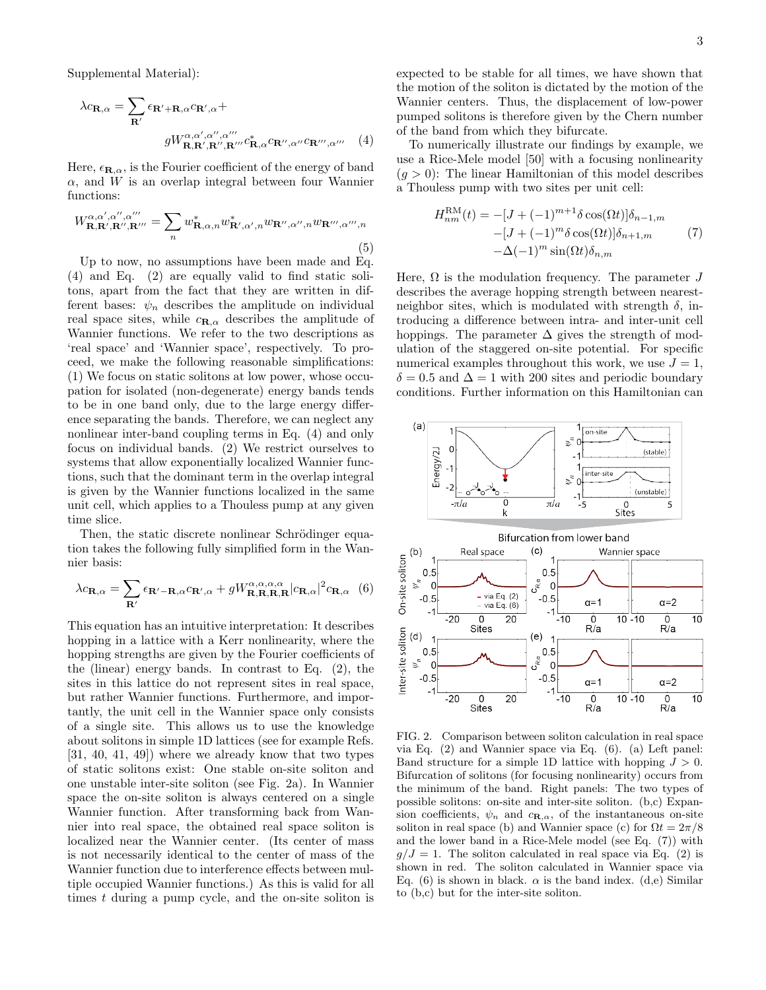Supplemental Material):

$$
\lambda c_{\mathbf{R},\alpha} = \sum_{\mathbf{R}'} \epsilon_{\mathbf{R}'+\mathbf{R},\alpha} c_{\mathbf{R}',\alpha} +
$$

$$
g W_{\mathbf{R},\mathbf{R}',\mathbf{R}''',\mathbf{R}'''}^{\alpha,\alpha',\alpha'',\alpha'''} c_{\mathbf{R},\alpha}^* c_{\mathbf{R}'',\alpha''} c_{\mathbf{R}''',\alpha'''} \quad (4)
$$

Here,  $\epsilon_{\mathbf{R},\alpha}$ , is the Fourier coefficient of the energy of band  $\alpha$ , and W is an overlap integral between four Wannier functions:

$$
W_{\mathbf{R},\mathbf{R}',\mathbf{R}'',\mathbf{R}'''}^{\alpha,\alpha',\alpha'',\alpha'''} = \sum_{n} w_{\mathbf{R},\alpha,n}^{*} w_{\mathbf{R}',\alpha',n}^{*} w_{\mathbf{R}'',\alpha'',n} w_{\mathbf{R}''',\alpha''',n}
$$
\n
$$
\tag{5}
$$

Up to now, no assumptions have been made and Eq. (4) and Eq. (2) are equally valid to find static solitons, apart from the fact that they are written in different bases:  $\psi_n$  describes the amplitude on individual real space sites, while  $c_{\mathbf{R},\alpha}$  describes the amplitude of Wannier functions. We refer to the two descriptions as 'real space' and 'Wannier space', respectively. To proceed, we make the following reasonable simplifications: (1) We focus on static solitons at low power, whose occupation for isolated (non-degenerate) energy bands tends to be in one band only, due to the large energy difference separating the bands. Therefore, we can neglect any nonlinear inter-band coupling terms in Eq. (4) and only focus on individual bands. (2) We restrict ourselves to systems that allow exponentially localized Wannier functions, such that the dominant term in the overlap integral is given by the Wannier functions localized in the same unit cell, which applies to a Thouless pump at any given time slice.

Then, the static discrete nonlinear Schrödinger equation takes the following fully simplified form in the Wannier basis:

$$
\lambda c_{\mathbf{R},\alpha} = \sum_{\mathbf{R}'} \epsilon_{\mathbf{R}'-\mathbf{R},\alpha} c_{\mathbf{R}',\alpha} + g W_{\mathbf{R},\mathbf{R},\mathbf{R},\mathbf{R}}^{\alpha,\alpha,\alpha,\alpha} |c_{\mathbf{R},\alpha}|^2 c_{\mathbf{R},\alpha}
$$
(6)

This equation has an intuitive interpretation: It describes hopping in a lattice with a Kerr nonlinearity, where the hopping strengths are given by the Fourier coefficients of the (linear) energy bands. In contrast to Eq. (2), the sites in this lattice do not represent sites in real space, but rather Wannier functions. Furthermore, and importantly, the unit cell in the Wannier space only consists of a single site. This allows us to use the knowledge about solitons in simple 1D lattices (see for example Refs. [31, 40, 41, 49]) where we already know that two types of static solitons exist: One stable on-site soliton and one unstable inter-site soliton (see Fig. 2a). In Wannier space the on-site soliton is always centered on a single Wannier function. After transforming back from Wannier into real space, the obtained real space soliton is localized near the Wannier center. (Its center of mass is not necessarily identical to the center of mass of the Wannier function due to interference effects between multiple occupied Wannier functions.) As this is valid for all times t during a pump cycle, and the on-site soliton is expected to be stable for all times, we have shown that the motion of the soliton is dictated by the motion of the Wannier centers. Thus, the displacement of low-power pumped solitons is therefore given by the Chern number of the band from which they bifurcate.

To numerically illustrate our findings by example, we use a Rice-Mele model [50] with a focusing nonlinearity  $(q > 0)$ : The linear Hamiltonian of this model describes a Thouless pump with two sites per unit cell:

$$
H_{nm}^{\rm RM}(t) = -[J + (-1)^{m+1} \delta \cos(\Omega t)] \delta_{n-1,m}
$$

$$
-[J + (-1)^m \delta \cos(\Omega t)] \delta_{n+1,m} \qquad (7)
$$

$$
-\Delta (-1)^m \sin(\Omega t) \delta_{n,m}
$$

Here,  $\Omega$  is the modulation frequency. The parameter J describes the average hopping strength between nearestneighbor sites, which is modulated with strength  $\delta$ , introducing a difference between intra- and inter-unit cell hoppings. The parameter  $\Delta$  gives the strength of modulation of the staggered on-site potential. For specific numerical examples throughout this work, we use  $J = 1$ ,  $\delta = 0.5$  and  $\Delta = 1$  with 200 sites and periodic boundary conditions. Further information on this Hamiltonian can





FIG. 2. Comparison between soliton calculation in real space via Eq. (2) and Wannier space via Eq. (6). (a) Left panel: Band structure for a simple 1D lattice with hopping  $J > 0$ . Bifurcation of solitons (for focusing nonlinearity) occurs from the minimum of the band. Right panels: The two types of possible solitons: on-site and inter-site soliton. (b,c) Expansion coefficients,  $\psi_n$  and  $c_{\mathbf{R},\alpha}$ , of the instantaneous on-site soliton in real space (b) and Wannier space (c) for  $\Omega t = 2\pi/8$ and the lower band in a Rice-Mele model (see Eq. (7)) with  $q/J = 1$ . The soliton calculated in real space via Eq. (2) is shown in red. The soliton calculated in Wannier space via Eq. (6) is shown in black.  $\alpha$  is the band index. (d,e) Similar to (b,c) but for the inter-site soliton.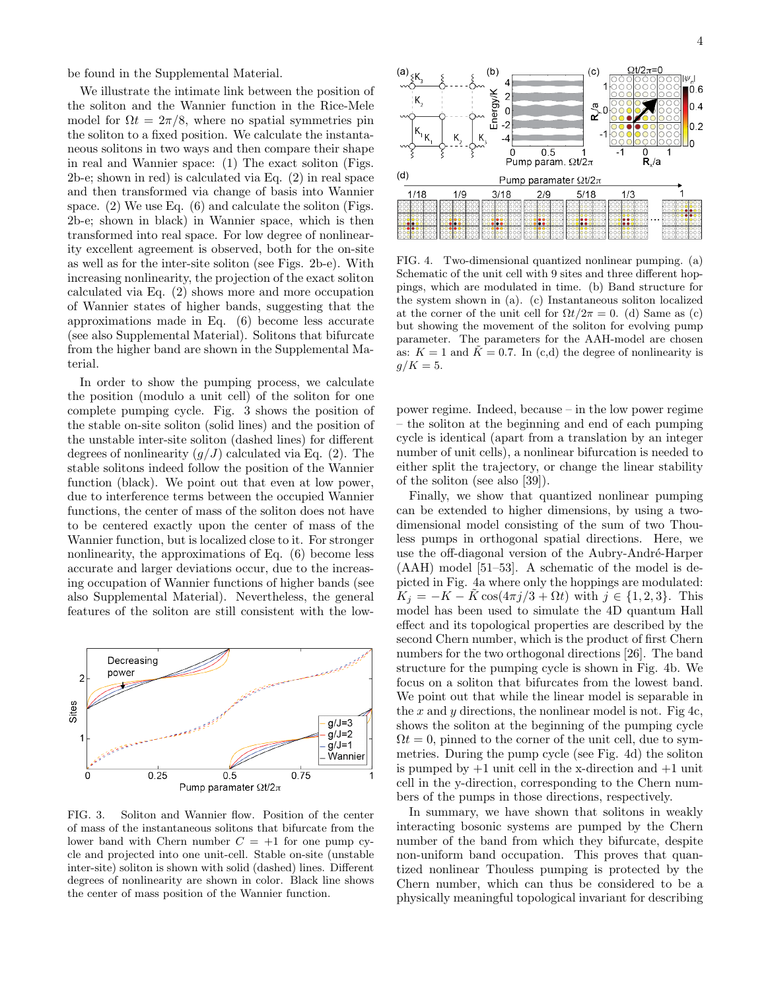be found in the Supplemental Material.

We illustrate the intimate link between the position of the soliton and the Wannier function in the Rice-Mele model for  $\Omega t = 2\pi/8$ , where no spatial symmetries pin the soliton to a fixed position. We calculate the instantaneous solitons in two ways and then compare their shape in real and Wannier space: (1) The exact soliton (Figs. 2b-e; shown in red) is calculated via Eq. (2) in real space and then transformed via change of basis into Wannier space. (2) We use Eq. (6) and calculate the soliton (Figs. 2b-e; shown in black) in Wannier space, which is then transformed into real space. For low degree of nonlinearity excellent agreement is observed, both for the on-site as well as for the inter-site soliton (see Figs. 2b-e). With increasing nonlinearity, the projection of the exact soliton calculated via Eq. (2) shows more and more occupation of Wannier states of higher bands, suggesting that the approximations made in Eq. (6) become less accurate (see also Supplemental Material). Solitons that bifurcate from the higher band are shown in the Supplemental Material.

In order to show the pumping process, we calculate the position (modulo a unit cell) of the soliton for one complete pumping cycle. Fig. 3 shows the position of the stable on-site soliton (solid lines) and the position of the unstable inter-site soliton (dashed lines) for different degrees of nonlinearity  $(q/J)$  calculated via Eq. (2). The stable solitons indeed follow the position of the Wannier function (black). We point out that even at low power, due to interference terms between the occupied Wannier functions, the center of mass of the soliton does not have to be centered exactly upon the center of mass of the Wannier function, but is localized close to it. For stronger nonlinearity, the approximations of Eq. (6) become less accurate and larger deviations occur, due to the increasing occupation of Wannier functions of higher bands (see also Supplemental Material). Nevertheless, the general features of the soliton are still consistent with the low-



FIG. 3. Soliton and Wannier flow. Position of the center of mass of the instantaneous solitons that bifurcate from the lower band with Chern number  $C = +1$  for one pump cycle and projected into one unit-cell. Stable on-site (unstable inter-site) soliton is shown with solid (dashed) lines. Different degrees of nonlinearity are shown in color. Black line shows the center of mass position of the Wannier function.



FIG. 4. Two-dimensional quantized nonlinear pumping. (a) Schematic of the unit cell with 9 sites and three different hoppings, which are modulated in time. (b) Band structure for the system shown in (a). (c) Instantaneous soliton localized at the corner of the unit cell for  $\Omega t/2\pi = 0$ . (d) Same as (c) but showing the movement of the soliton for evolving pump parameter. The parameters for the AAH-model are chosen as:  $K = 1$  and  $\bar{K} = 0.7$ . In (c,d) the degree of nonlinearity is  $g/K = 5.$ 

power regime. Indeed, because – in the low power regime – the soliton at the beginning and end of each pumping cycle is identical (apart from a translation by an integer number of unit cells), a nonlinear bifurcation is needed to either split the trajectory, or change the linear stability of the soliton (see also [39]).

Finally, we show that quantized nonlinear pumping can be extended to higher dimensions, by using a twodimensional model consisting of the sum of two Thouless pumps in orthogonal spatial directions. Here, we use the off-diagonal version of the Aubry-André-Harper (AAH) model [51–53]. A schematic of the model is depicted in Fig. 4a where only the hoppings are modulated:  $K_j = -K - \tilde{K} \cos(4\pi j/3 + \Omega t)$  with  $j \in \{1, 2, 3\}$ . This model has been used to simulate the 4D quantum Hall effect and its topological properties are described by the second Chern number, which is the product of first Chern numbers for the two orthogonal directions [26]. The band structure for the pumping cycle is shown in Fig. 4b. We focus on a soliton that bifurcates from the lowest band. We point out that while the linear model is separable in the x and y directions, the nonlinear model is not. Fig 4c, shows the soliton at the beginning of the pumping cycle  $\Omega t = 0$ , pinned to the corner of the unit cell, due to symmetries. During the pump cycle (see Fig. 4d) the soliton is pumped by  $+1$  unit cell in the x-direction and  $+1$  unit cell in the y-direction, corresponding to the Chern numbers of the pumps in those directions, respectively.

In summary, we have shown that solitons in weakly interacting bosonic systems are pumped by the Chern number of the band from which they bifurcate, despite non-uniform band occupation. This proves that quantized nonlinear Thouless pumping is protected by the Chern number, which can thus be considered to be a physically meaningful topological invariant for describing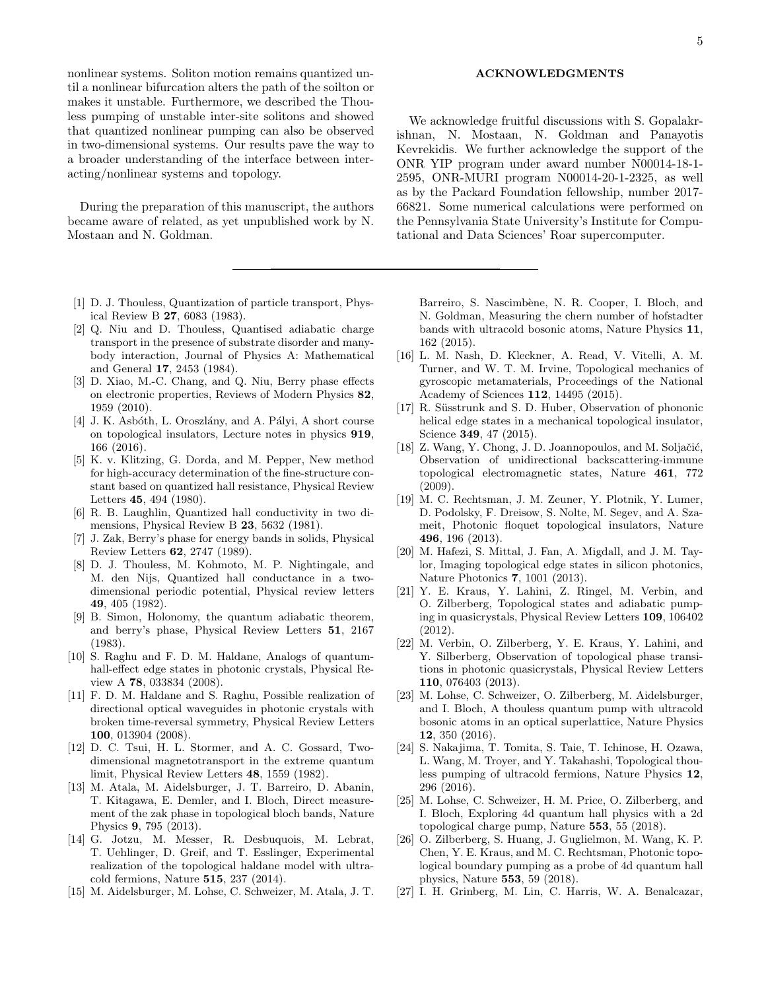nonlinear systems. Soliton motion remains quantized until a nonlinear bifurcation alters the path of the soilton or makes it unstable. Furthermore, we described the Thouless pumping of unstable inter-site solitons and showed that quantized nonlinear pumping can also be observed in two-dimensional systems. Our results pave the way to a broader understanding of the interface between interacting/nonlinear systems and topology.

During the preparation of this manuscript, the authors became aware of related, as yet unpublished work by N. Mostaan and N. Goldman.

- [1] D. J. Thouless, Quantization of particle transport, Physical Review B 27, 6083 (1983).
- [2] Q. Niu and D. Thouless, Quantised adiabatic charge transport in the presence of substrate disorder and manybody interaction, Journal of Physics A: Mathematical and General 17, 2453 (1984).
- [3] D. Xiao, M.-C. Chang, and Q. Niu, Berry phase effects on electronic properties, Reviews of Modern Physics 82, 1959 (2010).
- [4] J. K. Asbóth, L. Oroszlány, and A. Pályi, A short course on topological insulators, Lecture notes in physics 919, 166 (2016).
- [5] K. v. Klitzing, G. Dorda, and M. Pepper, New method for high-accuracy determination of the fine-structure constant based on quantized hall resistance, Physical Review Letters 45, 494 (1980).
- [6] R. B. Laughlin, Quantized hall conductivity in two dimensions, Physical Review B 23, 5632 (1981).
- [7] J. Zak, Berry's phase for energy bands in solids, Physical Review Letters 62, 2747 (1989).
- [8] D. J. Thouless, M. Kohmoto, M. P. Nightingale, and M. den Nijs, Quantized hall conductance in a twodimensional periodic potential, Physical review letters 49, 405 (1982).
- [9] B. Simon, Holonomy, the quantum adiabatic theorem, and berry's phase, Physical Review Letters 51, 2167 (1983).
- [10] S. Raghu and F. D. M. Haldane, Analogs of quantumhall-effect edge states in photonic crystals, Physical Review A 78, 033834 (2008).
- [11] F. D. M. Haldane and S. Raghu, Possible realization of directional optical waveguides in photonic crystals with broken time-reversal symmetry, Physical Review Letters 100, 013904 (2008).
- [12] D. C. Tsui, H. L. Stormer, and A. C. Gossard, Twodimensional magnetotransport in the extreme quantum limit, Physical Review Letters 48, 1559 (1982).
- [13] M. Atala, M. Aidelsburger, J. T. Barreiro, D. Abanin, T. Kitagawa, E. Demler, and I. Bloch, Direct measurement of the zak phase in topological bloch bands, Nature Physics 9, 795 (2013).
- [14] G. Jotzu, M. Messer, R. Desbuquois, M. Lebrat, T. Uehlinger, D. Greif, and T. Esslinger, Experimental realization of the topological haldane model with ultracold fermions, Nature 515, 237 (2014).
- [15] M. Aidelsburger, M. Lohse, C. Schweizer, M. Atala, J. T.

### ACKNOWLEDGMENTS

We acknowledge fruitful discussions with S. Gopalakrishnan, N. Mostaan, N. Goldman and Panayotis Kevrekidis. We further acknowledge the support of the ONR YIP program under award number N00014-18-1- 2595, ONR-MURI program N00014-20-1-2325, as well as by the Packard Foundation fellowship, number 2017- 66821. Some numerical calculations were performed on the Pennsylvania State University's Institute for Computational and Data Sciences' Roar supercomputer.

Barreiro, S. Nascimbène, N. R. Cooper, I. Bloch, and N. Goldman, Measuring the chern number of hofstadter bands with ultracold bosonic atoms, Nature Physics 11, 162 (2015).

- [16] L. M. Nash, D. Kleckner, A. Read, V. Vitelli, A. M. Turner, and W. T. M. Irvine, Topological mechanics of gyroscopic metamaterials, Proceedings of the National Academy of Sciences 112, 14495 (2015).
- [17] R. Süsstrunk and S. D. Huber, Observation of phononic helical edge states in a mechanical topological insulator, Science 349, 47 (2015).
- [18] Z. Wang, Y. Chong, J. D. Joannopoulos, and M. Soljačić, Observation of unidirectional backscattering-immune topological electromagnetic states, Nature 461, 772 (2009).
- [19] M. C. Rechtsman, J. M. Zeuner, Y. Plotnik, Y. Lumer, D. Podolsky, F. Dreisow, S. Nolte, M. Segev, and A. Szameit, Photonic floquet topological insulators, Nature 496, 196 (2013).
- [20] M. Hafezi, S. Mittal, J. Fan, A. Migdall, and J. M. Taylor, Imaging topological edge states in silicon photonics, Nature Photonics 7, 1001 (2013).
- [21] Y. E. Kraus, Y. Lahini, Z. Ringel, M. Verbin, and O. Zilberberg, Topological states and adiabatic pumping in quasicrystals, Physical Review Letters 109, 106402 (2012).
- [22] M. Verbin, O. Zilberberg, Y. E. Kraus, Y. Lahini, and Y. Silberberg, Observation of topological phase transitions in photonic quasicrystals, Physical Review Letters 110, 076403 (2013).
- [23] M. Lohse, C. Schweizer, O. Zilberberg, M. Aidelsburger, and I. Bloch, A thouless quantum pump with ultracold bosonic atoms in an optical superlattice, Nature Physics 12, 350 (2016).
- [24] S. Nakajima, T. Tomita, S. Taie, T. Ichinose, H. Ozawa, L. Wang, M. Troyer, and Y. Takahashi, Topological thouless pumping of ultracold fermions, Nature Physics 12, 296 (2016).
- [25] M. Lohse, C. Schweizer, H. M. Price, O. Zilberberg, and I. Bloch, Exploring 4d quantum hall physics with a 2d topological charge pump, Nature 553, 55 (2018).
- [26] O. Zilberberg, S. Huang, J. Guglielmon, M. Wang, K. P. Chen, Y. E. Kraus, and M. C. Rechtsman, Photonic topological boundary pumping as a probe of 4d quantum hall physics, Nature 553, 59 (2018).
- [27] I. H. Grinberg, M. Lin, C. Harris, W. A. Benalcazar,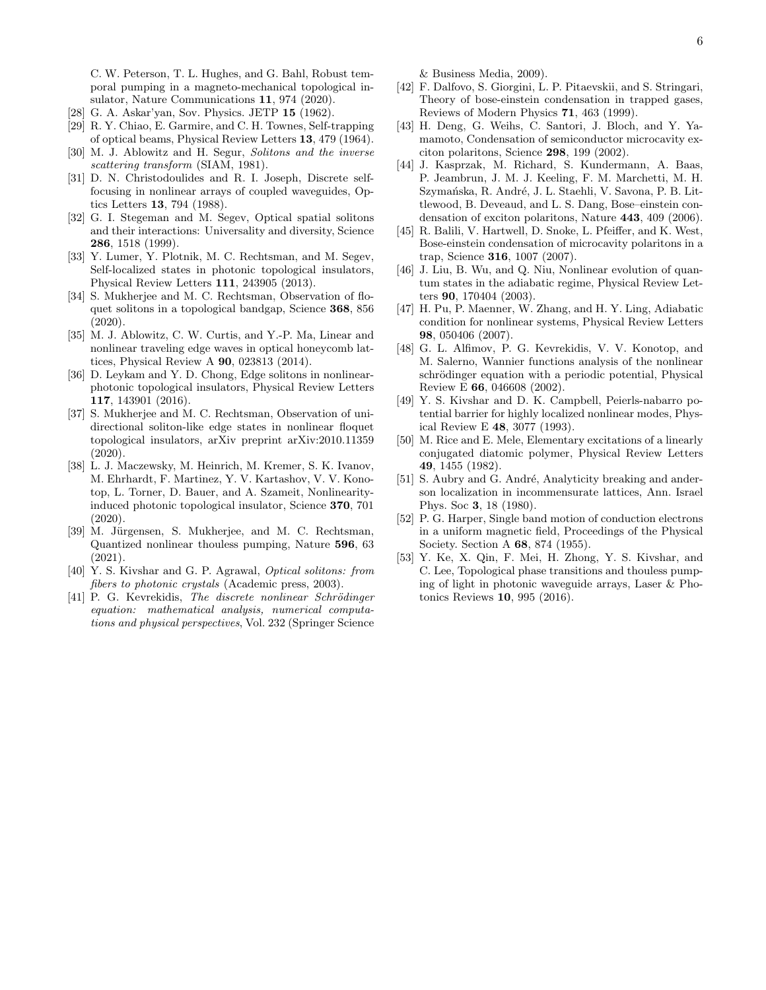C. W. Peterson, T. L. Hughes, and G. Bahl, Robust temporal pumping in a magneto-mechanical topological insulator, Nature Communications 11, 974 (2020).

- [28] G. A. Askar'yan, Sov. Physics. JETP 15 (1962).
- [29] R. Y. Chiao, E. Garmire, and C. H. Townes, Self-trapping of optical beams, Physical Review Letters 13, 479 (1964).
- [30] M. J. Ablowitz and H. Segur, Solitons and the inverse scattering transform (SIAM, 1981).
- [31] D. N. Christodoulides and R. I. Joseph, Discrete selffocusing in nonlinear arrays of coupled waveguides, Optics Letters 13, 794 (1988).
- [32] G. I. Stegeman and M. Segev, Optical spatial solitons and their interactions: Universality and diversity, Science 286, 1518 (1999).
- [33] Y. Lumer, Y. Plotnik, M. C. Rechtsman, and M. Segev, Self-localized states in photonic topological insulators, Physical Review Letters 111, 243905 (2013).
- [34] S. Mukherjee and M. C. Rechtsman, Observation of floquet solitons in a topological bandgap, Science 368, 856 (2020).
- [35] M. J. Ablowitz, C. W. Curtis, and Y.-P. Ma, Linear and nonlinear traveling edge waves in optical honeycomb lattices, Physical Review A 90, 023813 (2014).
- [36] D. Leykam and Y. D. Chong, Edge solitons in nonlinearphotonic topological insulators, Physical Review Letters 117, 143901 (2016).
- [37] S. Mukherjee and M. C. Rechtsman, Observation of unidirectional soliton-like edge states in nonlinear floquet topological insulators, arXiv preprint arXiv:2010.11359 (2020).
- [38] L. J. Maczewsky, M. Heinrich, M. Kremer, S. K. Ivanov, M. Ehrhardt, F. Martinez, Y. V. Kartashov, V. V. Konotop, L. Torner, D. Bauer, and A. Szameit, Nonlinearityinduced photonic topological insulator, Science 370, 701 (2020).
- [39] M. Jürgensen, S. Mukherjee, and M. C. Rechtsman, Quantized nonlinear thouless pumping, Nature 596, 63 (2021).
- [40] Y. S. Kivshar and G. P. Agrawal, Optical solitons: from fibers to photonic crystals (Academic press, 2003).
- [41] P. G. Kevrekidis, The discrete nonlinear Schrödinger equation: mathematical analysis, numerical computations and physical perspectives, Vol. 232 (Springer Science

& Business Media, 2009).

- [42] F. Dalfovo, S. Giorgini, L. P. Pitaevskii, and S. Stringari, Theory of bose-einstein condensation in trapped gases, Reviews of Modern Physics 71, 463 (1999).
- [43] H. Deng, G. Weihs, C. Santori, J. Bloch, and Y. Yamamoto, Condensation of semiconductor microcavity exciton polaritons, Science 298, 199 (2002).
- [44] J. Kasprzak, M. Richard, S. Kundermann, A. Baas, P. Jeambrun, J. M. J. Keeling, F. M. Marchetti, M. H. Szymańska, R. André, J. L. Staehli, V. Savona, P. B. Littlewood, B. Deveaud, and L. S. Dang, Bose–einstein condensation of exciton polaritons, Nature 443, 409 (2006).
- [45] R. Balili, V. Hartwell, D. Snoke, L. Pfeiffer, and K. West, Bose-einstein condensation of microcavity polaritons in a trap, Science 316, 1007 (2007).
- [46] J. Liu, B. Wu, and Q. Niu, Nonlinear evolution of quantum states in the adiabatic regime, Physical Review Letters 90, 170404 (2003).
- [47] H. Pu, P. Maenner, W. Zhang, and H. Y. Ling, Adiabatic condition for nonlinear systems, Physical Review Letters 98, 050406 (2007).
- [48] G. L. Alfimov, P. G. Kevrekidis, V. V. Konotop, and M. Salerno, Wannier functions analysis of the nonlinear schrödinger equation with a periodic potential, Physical Review E 66, 046608 (2002).
- [49] Y. S. Kivshar and D. K. Campbell, Peierls-nabarro potential barrier for highly localized nonlinear modes, Physical Review E 48, 3077 (1993).
- [50] M. Rice and E. Mele, Elementary excitations of a linearly conjugated diatomic polymer, Physical Review Letters 49, 1455 (1982).
- [51] S. Aubry and G. André, Analyticity breaking and anderson localization in incommensurate lattices, Ann. Israel Phys. Soc 3, 18 (1980).
- [52] P. G. Harper, Single band motion of conduction electrons in a uniform magnetic field, Proceedings of the Physical Society. Section A 68, 874 (1955).
- [53] Y. Ke, X. Qin, F. Mei, H. Zhong, Y. S. Kivshar, and C. Lee, Topological phase transitions and thouless pumping of light in photonic waveguide arrays, Laser & Photonics Reviews 10, 995 (2016).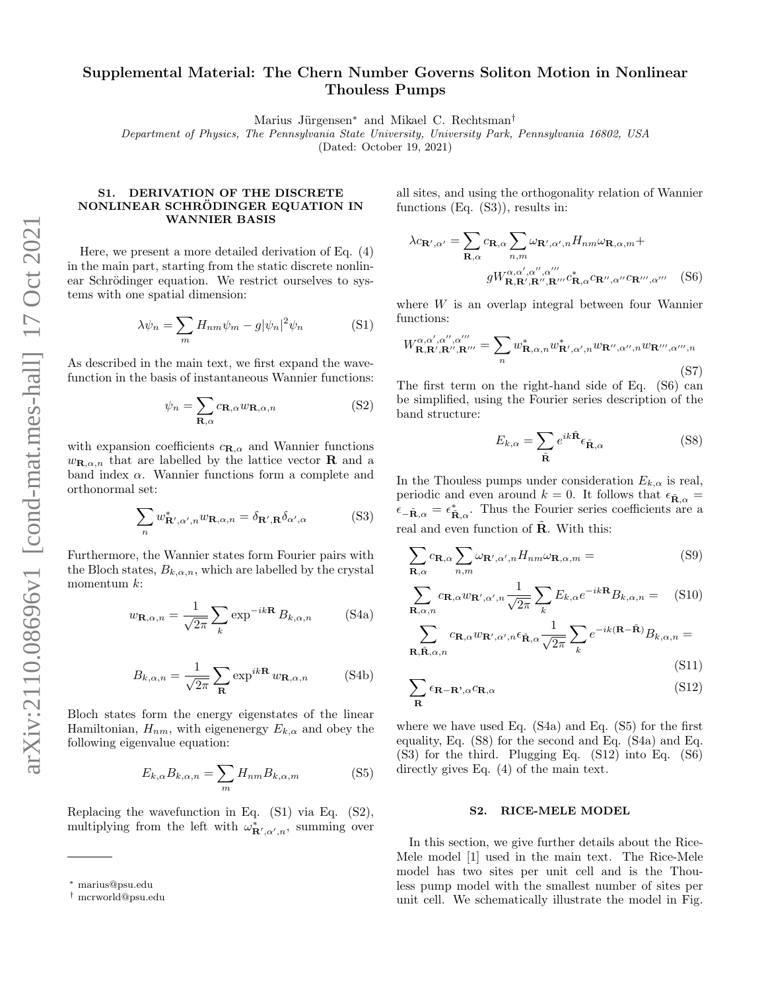# Supplemental Material: The Chern Number Governs Soliton Motion in Nonlinear Thouless Pumps

Marius Jürgensen<sup>∗</sup> and Mikael C. Rechtsman<sup>†</sup>

Department of Physics, The Pennsylvania State University, University Park, Pennsylvania 16802, USA

(Dated: October 19, 2021)

# S1. DERIVATION OF THE DISCRETE NONLINEAR SCHRÖDINGER EQUATION IN WANNIER BASIS

Here, we present a more detailed derivation of Eq. (4) in the main part, starting from the static discrete nonlinear Schrödinger equation. We restrict ourselves to systems with one spatial dimension:

$$
\lambda \psi_n = \sum_m H_{nm} \psi_m - g |\psi_n|^2 \psi_n \tag{S1}
$$

As described in the main text, we first expand the wavefunction in the basis of instantaneous Wannier functions:

$$
\psi_n = \sum_{\mathbf{R}, \alpha} c_{\mathbf{R}, \alpha} w_{\mathbf{R}, \alpha, n}
$$
 (S2)

with expansion coefficients  $c_{\mathbf{R},\alpha}$  and Wannier functions  $w_{\mathbf{R},\alpha,n}$  that are labelled by the lattice vector **R** and a band index  $\alpha$ . Wannier functions form a complete and orthonormal set:

$$
\sum_{n} w_{\mathbf{R}',\alpha',n}^* w_{\mathbf{R},\alpha,n} = \delta_{\mathbf{R}',\mathbf{R}} \delta_{\alpha',\alpha} \tag{S3}
$$

Furthermore, the Wannier states form Fourier pairs with the Bloch states,  $B_{k,\alpha,n}$ , which are labelled by the crystal momentum k:

$$
w_{\mathbf{R},\alpha,n} = \frac{1}{\sqrt{2\pi}} \sum_{k} \exp^{-ik\mathbf{R}} B_{k,\alpha,n} \quad \text{(S4a)}
$$

$$
B_{k,\alpha,n} = \frac{1}{\sqrt{2\pi}} \sum_{\mathbf{R}} \exp^{ik\mathbf{R}} w_{\mathbf{R},\alpha,n}
$$
 (S4b)

Bloch states form the energy eigenstates of the linear Hamiltonian,  $H_{nm}$ , with eigenenergy  $E_{k,\alpha}$  and obey the following eigenvalue equation:

$$
E_{k,\alpha}B_{k,\alpha,n} = \sum_{m} H_{nm}B_{k,\alpha,m} \tag{S5}
$$

Replacing the wavefunction in Eq. (S1) via Eq. (S2), multiplying from the left with  $\omega^*_{\mathbf{R}',\alpha',n}$ , summing over all sites, and using the orthogonality relation of Wannier functions (Eq. (S3)), results in:

$$
\lambda c_{\mathbf{R}',\alpha'} = \sum_{\mathbf{R},\alpha} c_{\mathbf{R},\alpha} \sum_{n,m} \omega_{\mathbf{R}',\alpha',n} H_{nm} \omega_{\mathbf{R},\alpha,m} +
$$

$$
g W_{\mathbf{R},\mathbf{R}',\mathbf{R}''',\mathbf{R}''''}^{\alpha,\alpha',\alpha'',\alpha''} c_{\mathbf{R},\alpha}^{\ast} c_{\mathbf{R}'',\alpha''} c_{\mathbf{R}'''',\alpha'''}
$$
(S6)

where W is an overlap integral between four Wannier functions:

$$
W_{\mathbf{R},\mathbf{R}',\mathbf{R}'',\mathbf{R}'''}^{\alpha,\alpha',\alpha'',\alpha''} = \sum_{n} w_{\mathbf{R},\alpha,n}^{*} w_{\mathbf{R}',\alpha',n}^{*} w_{\mathbf{R}'',\alpha'',n} w_{\mathbf{R}''',\alpha''',n}
$$
\n(S7)

The first term on the right-hand side of Eq. (S6) can be simplified, using the Fourier series description of the band structure:

$$
E_{k,\alpha} = \sum_{\tilde{\mathbf{R}}} e^{ik\tilde{\mathbf{R}}}\epsilon_{\tilde{\mathbf{R}},\alpha}
$$
 (S8)

In the Thouless pumps under consideration  $E_{k,\alpha}$  is real, periodic and even around  $k = 0$ . It follows that  $\epsilon_{\tilde{\mathbf{R}}, \alpha} =$  $\epsilon_{-\tilde{\mathbf{R}},\alpha} = \epsilon^*_{\tilde{\mathbf{R}},\alpha}$ . Thus the Fourier series coefficients are a real and even function of  $\tilde{\mathbf{R}}$ . With this:

$$
\sum_{\mathbf{R},\alpha} c_{\mathbf{R},\alpha} \sum_{n,m} \omega_{\mathbf{R}',\alpha',n} H_{nm} \omega_{\mathbf{R},\alpha,m} =
$$
 (S9)

$$
\sum_{\mathbf{R},\alpha,n} c_{\mathbf{R},\alpha} w_{\mathbf{R}',\alpha',n} \frac{1}{\sqrt{2\pi}} \sum_{k} E_{k,\alpha} e^{-ik\mathbf{R}} B_{k,\alpha,n} = \quad \text{(S10)}
$$
\n
$$
\sum_{\mathbf{R},\alpha} c_{\mathbf{R},\alpha} w_{\mathbf{R}',\alpha',n} \epsilon_{\tilde{\mathbf{R}},\alpha} \frac{1}{\sqrt{2\pi}} \sum_{k} e^{-ik(\mathbf{R}-\tilde{\mathbf{R}})} B_{k,\alpha,n} =
$$

$$
\mathbf{R}, \tilde{\mathbf{R}}, \alpha, n
$$
\n
$$
\mathbf{R}, \tilde{\mathbf{R}}, \alpha, n
$$
\n(S11)

$$
\sum_{\mathbf{R}} \epsilon_{\mathbf{R}-\mathbf{R}',\alpha} c_{\mathbf{R},\alpha} \tag{S12}
$$

where we have used Eq. (S4a) and Eq. (S5) for the first equality, Eq. (S8) for the second and Eq. (S4a) and Eq. (S3) for the third. Plugging Eq. (S12) into Eq. (S6) directly gives Eq. (4) of the main text.

### S2. RICE-MELE MODEL

In this section, we give further details about the Rice-Mele model [1] used in the main text. The Rice-Mele model has two sites per unit cell and is the Thouless pump model with the smallest number of sites per unit cell. We schematically illustrate the model in Fig.

<sup>∗</sup> marius@psu.edu

<sup>†</sup> mcrworld@psu.edu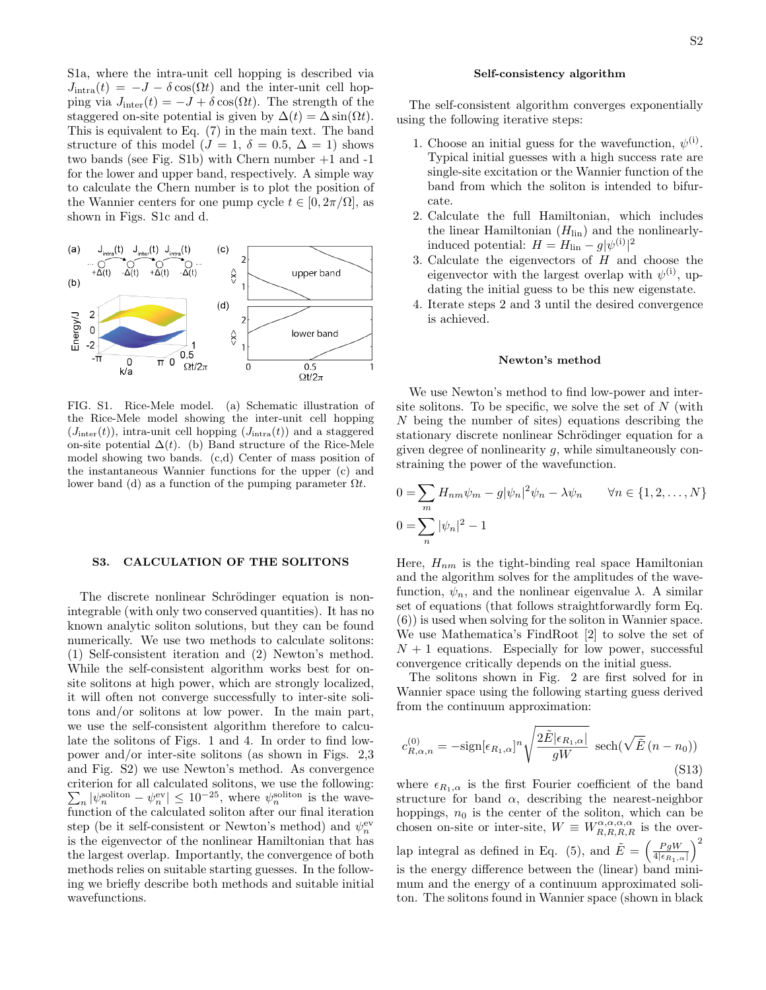S1a, where the intra-unit cell hopping is described via  $J_{\text{intra}}(t) = -J - \delta \cos(\Omega t)$  and the inter-unit cell hopping via  $J_{\text{inter}}(t) = -J + \delta \cos(\Omega t)$ . The strength of the staggered on-site potential is given by  $\Delta(t) = \Delta \sin(\Omega t)$ . This is equivalent to Eq. (7) in the main text. The band structure of this model ( $J = 1, \delta = 0.5, \Delta = 1$ ) shows two bands (see Fig. S1b) with Chern number +1 and -1 for the lower and upper band, respectively. A simple way to calculate the Chern number is to plot the position of the Wannier centers for one pump cycle  $t \in [0, 2\pi/\Omega]$ , as shown in Figs. S1c and d.



FIG. S1. Rice-Mele model. (a) Schematic illustration of the Rice-Mele model showing the inter-unit cell hopping  $(J<sub>inter</sub>(t))$ , intra-unit cell hopping  $(J<sub>intra</sub>(t))$  and a staggered on-site potential  $\Delta(t)$ . (b) Band structure of the Rice-Mele model showing two bands. (c,d) Center of mass position of the instantaneous Wannier functions for the upper (c) and lower band (d) as a function of the pumping parameter  $\Omega t$ .

# S3. CALCULATION OF THE SOLITONS

The discrete nonlinear Schrödinger equation is nonintegrable (with only two conserved quantities). It has no known analytic soliton solutions, but they can be found numerically. We use two methods to calculate solitons: (1) Self-consistent iteration and (2) Newton's method. While the self-consistent algorithm works best for onsite solitons at high power, which are strongly localized, it will often not converge successfully to inter-site solitons and/or solitons at low power. In the main part, we use the self-consistent algorithm therefore to calculate the solitons of Figs. 1 and 4. In order to find lowpower and/or inter-site solitons (as shown in Figs. 2,3 and Fig. S2) we use Newton's method. As convergence criterion for all calculated solitons, we use the following:  $\sum_{n} |\psi_n^{\text{soliton}} - \psi_n^{\text{ev}}| \leq 10^{-25}$ , where  $\psi_n^{\text{soliton}}$  is the wavefunction of the calculated soliton after our final iteration step (be it self-consistent or Newton's method) and  $\psi_n^{\mathrm{ev}}$ is the eigenvector of the nonlinear Hamiltonian that has the largest overlap. Importantly, the convergence of both methods relies on suitable starting guesses. In the following we briefly describe both methods and suitable initial wavefunctions.

### Self-consistency algorithm

The self-consistent algorithm converges exponentially using the following iterative steps:

- 1. Choose an initial guess for the wavefunction,  $\psi^{(i)}$ . Typical initial guesses with a high success rate are single-site excitation or the Wannier function of the band from which the soliton is intended to bifurcate.
- 2. Calculate the full Hamiltonian, which includes the linear Hamiltonian  $(H_{lin})$  and the nonlinearlyinduced potential:  $H = H_{\text{lin}} - g|\psi^{(i)}|^2$
- 3. Calculate the eigenvectors of H and choose the eigenvector with the largest overlap with  $\psi^{(i)}$ , updating the initial guess to be this new eigenstate.
- 4. Iterate steps 2 and 3 until the desired convergence is achieved.

### Newton's method

We use Newton's method to find low-power and intersite solitons. To be specific, we solve the set of  $N$  (with N being the number of sites) equations describing the stationary discrete nonlinear Schrödinger equation for a given degree of nonlinearity  $q$ , while simultaneously constraining the power of the wavefunction.

$$
0 = \sum_{m} H_{nm} \psi_m - g |\psi_n|^2 \psi_n - \lambda \psi_n \qquad \forall n \in \{1, 2, ..., N\}
$$
  

$$
0 = \sum_{n} |\psi_n|^2 - 1
$$

Here,  $H_{nm}$  is the tight-binding real space Hamiltonian and the algorithm solves for the amplitudes of the wavefunction,  $\psi_n$ , and the nonlinear eigenvalue  $\lambda$ . A similar set of equations (that follows straightforwardly form Eq. (6)) is used when solving for the soliton in Wannier space. We use Mathematica's FindRoot [2] to solve the set of  $N+1$  equations. Especially for low power, successful convergence critically depends on the initial guess.

The solitons shown in Fig. 2 are first solved for in Wannier space using the following starting guess derived from the continuum approximation:

$$
c_{R,\alpha,n}^{(0)} = -\text{sign}[\epsilon_{R_1,\alpha}]^n \sqrt{\frac{2\tilde{E}|\epsilon_{R_1,\alpha}|}{gW}} \ \text{sech}(\sqrt{\tilde{E}}(n-n_0))
$$
\n
$$
(S13)
$$

where  $\epsilon_{R_1,\alpha}$  is the first Fourier coefficient of the band structure for band  $\alpha$ , describing the nearest-neighbor hoppings,  $n_0$  is the center of the soliton, which can be chosen on-site or inter-site,  $W \equiv W_{R,R,R,R}^{\alpha,\alpha,\alpha,\alpha}$  is the overlap integral as defined in Eq. (5), and  $\tilde{E} = \left(\frac{PgW}{4|\epsilon_{R_1,\alpha}|}\right)$  $\setminus^2$ is the energy difference between the (linear) band minimum and the energy of a continuum approximated soliton. The solitons found in Wannier space (shown in black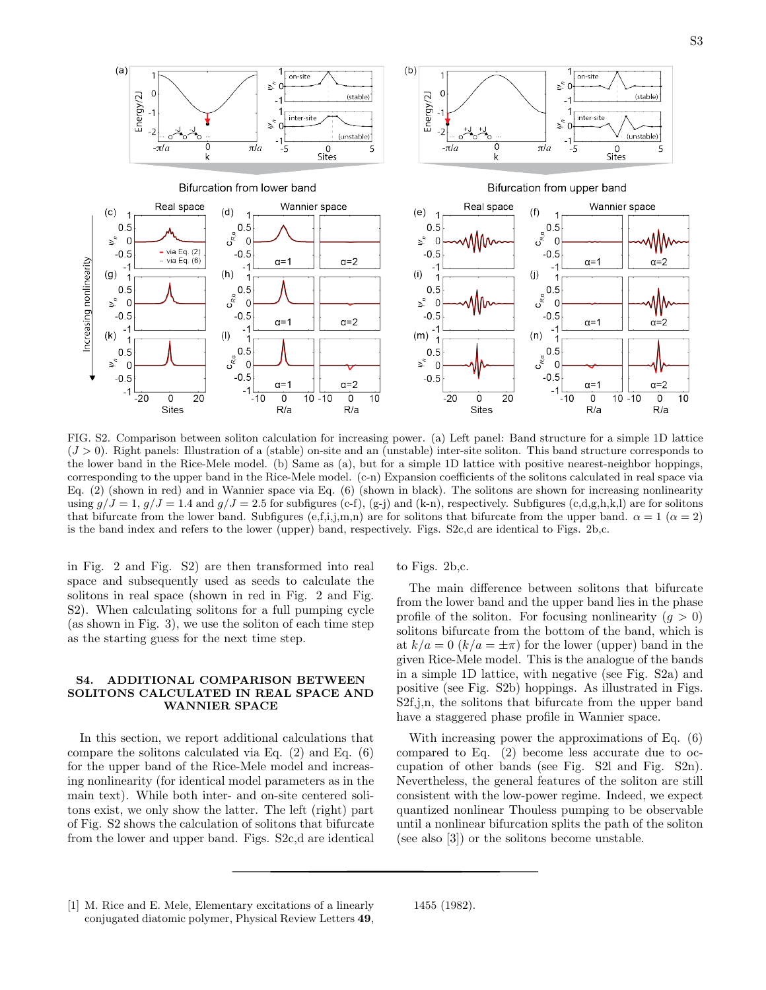

FIG. S2. Comparison between soliton calculation for increasing power. (a) Left panel: Band structure for a simple 1D lattice  $(J > 0)$ . Right panels: Illustration of a (stable) on-site and an (unstable) inter-site soliton. This band structure corresponds to the lower band in the Rice-Mele model. (b) Same as (a), but for a simple 1D lattice with positive nearest-neighbor hoppings, corresponding to the upper band in the Rice-Mele model. (c-n) Expansion coefficients of the solitons calculated in real space via Eq. (2) (shown in red) and in Wannier space via Eq. (6) (shown in black). The solitons are shown for increasing nonlinearity using  $g/J = 1$ ,  $g/J = 1.4$  and  $g/J = 2.5$  for subfigures (c-f), (g-j) and (k-n), respectively. Subfigures (c,d,g,h,k,l) are for solitons that bifurcate from the lower band. Subfigures (e,f,i,j,m,n) are for solitons that bifurcate from the upper band.  $\alpha = 1$  ( $\alpha = 2$ ) is the band index and refers to the lower (upper) band, respectively. Figs. S2c,d are identical to Figs. 2b,c.

in Fig. 2 and Fig. S2) are then transformed into real space and subsequently used as seeds to calculate the solitons in real space (shown in red in Fig. 2 and Fig. S2). When calculating solitons for a full pumping cycle (as shown in Fig. 3), we use the soliton of each time step as the starting guess for the next time step.

## S4. ADDITIONAL COMPARISON BETWEEN SOLITONS CALCULATED IN REAL SPACE AND WANNIER SPACE

In this section, we report additional calculations that compare the solitons calculated via Eq. (2) and Eq. (6) for the upper band of the Rice-Mele model and increasing nonlinearity (for identical model parameters as in the main text). While both inter- and on-site centered solitons exist, we only show the latter. The left (right) part of Fig. S2 shows the calculation of solitons that bifurcate from the lower and upper band. Figs. S2c,d are identical to Figs. 2b,c.

The main difference between solitons that bifurcate from the lower band and the upper band lies in the phase profile of the soliton. For focusing nonlinearity  $(q > 0)$ solitons bifurcate from the bottom of the band, which is at  $k/a = 0$   $(k/a = \pm \pi)$  for the lower (upper) band in the given Rice-Mele model. This is the analogue of the bands in a simple 1D lattice, with negative (see Fig. S2a) and positive (see Fig. S2b) hoppings. As illustrated in Figs. S2f,j,n, the solitons that bifurcate from the upper band have a staggered phase profile in Wannier space.

With increasing power the approximations of Eq. (6) compared to Eq. (2) become less accurate due to occupation of other bands (see Fig. S2l and Fig. S2n). Nevertheless, the general features of the soliton are still consistent with the low-power regime. Indeed, we expect quantized nonlinear Thouless pumping to be observable until a nonlinear bifurcation splits the path of the soliton (see also [3]) or the solitons become unstable.

<sup>[1]</sup> M. Rice and E. Mele, Elementary excitations of a linearly conjugated diatomic polymer, Physical Review Letters 49,

<sup>1455 (1982).</sup>